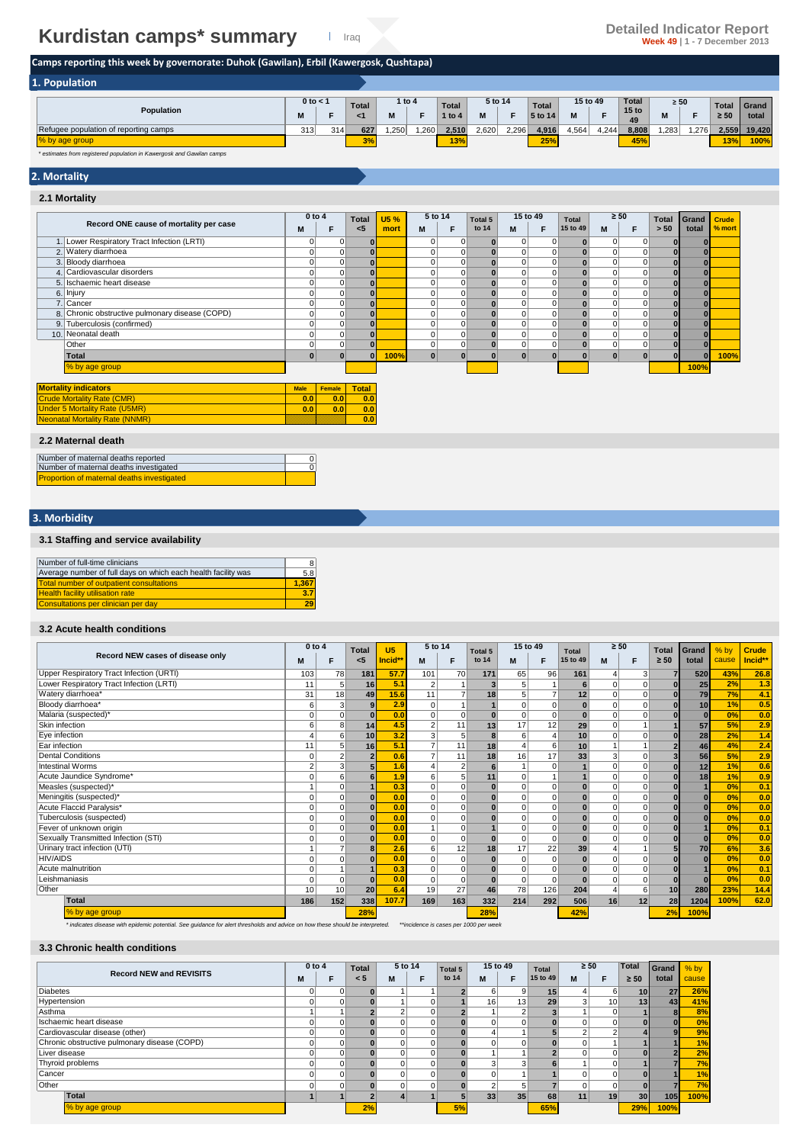# **Kurdistan camps\* summary Detailed Indicator Report Detailed Indicator Report Publication Report Detailed Indicator Report**

# **Camps reporting this week by governorate: Duhok (Gawilan), Erbil (Kawergosk, Qushtapa)**

| 1. Population                         |              |     |              |        |      |              |         |       |              |       |          |                        |           |      |           |        |
|---------------------------------------|--------------|-----|--------------|--------|------|--------------|---------|-------|--------------|-------|----------|------------------------|-----------|------|-----------|--------|
|                                       | $0$ to $<$ 1 |     | <b>Total</b> | 1 to 4 |      | <b>Total</b> | 5 to 14 |       | <b>Total</b> |       | 15 to 49 | <b>Total</b>           | $\geq 50$ |      | Total     | Grand  |
| Population                            |              |     |              |        |      | 1 to 4       |         |       | 5 to 14      | M     |          | 15 <sub>to</sub><br>49 | IΜ        |      | $\geq 50$ | total  |
| Refugee population of reporting camps | 313          | 314 | 627          | .250   | ,260 | 2,510        | 2,620   | 2,296 | 4,916        | 4,564 | 4,244    | 8,808                  | ,283      | .276 | 2,559     | 19.420 |
| % by age group                        |              |     | 3%           |        |      | 13%          |         |       | 25%          |       |          | 45%                    |           |      | 13%       | 100%   |

*\* estimates from registered population in Kawergosk and Gawilan camps*

# **2. Mortality**

#### **2.1 Mortality**

|                                                 |             | $0$ to $4$  | <b>Total</b>            | <b>U5%</b> | 5 to 14      |             | Total 5 | 15 to 49       |             | Total        | $\geq 50$      |             | <b>Total</b> | Grand    | <b>Crude</b> |
|-------------------------------------------------|-------------|-------------|-------------------------|------------|--------------|-------------|---------|----------------|-------------|--------------|----------------|-------------|--------------|----------|--------------|
| Record ONE cause of mortality per case          | м           | F           | $\epsilon$ <sub>5</sub> | mort       | М            | F           | to 14   | M              | F           | 15 to 49     | M              | F           | > 50         | total    | % mort       |
| 1. Lower Respiratory Tract Infection (LRTI)     | 0           | 0           | $\bf{0}$                |            | 0            | 0           |         | $\Omega$       | 0           | $\bf{0}$     | $\overline{0}$ | 0           |              | $\bf{0}$ |              |
| 2. Watery diarrhoea                             | 0           | 0           | $\bf{0}$                |            |              | 0           |         | $\overline{0}$ |             | $\bf{0}$     | 0              | 0           |              |          |              |
| 3. Bloody diarrhoea                             | 0           | 0           | $\bf{0}$                |            | 0            | $\mathbf 0$ |         | $\overline{0}$ | $\mathbf 0$ |              | 0              | 0           |              |          |              |
| 4. Cardiovascular disorders                     | $\Omega$    | 0           | $\bf{0}$                |            |              | $\mathbf 0$ |         | $\overline{0}$ | $\mathbf 0$ | $\mathbf{0}$ | $\overline{0}$ | $\Omega$    |              |          |              |
| 5. Ischaemic heart disease                      | $\Omega$    | 0           | $\Omega$                |            | 0            | $\mathbf 0$ |         | $\overline{0}$ | $\mathbf 0$ |              | $\mathbf 0$    | $\Omega$    |              |          |              |
| 6. Injury                                       | $\Omega$    | $\mathbf 0$ | $\bf{0}$                |            |              | $\mathbf 0$ |         | $\overline{0}$ | $\mathbf 0$ | $\bf{0}$     | $\mathbf 0$    | $\mathbf 0$ |              |          |              |
| Cancer<br>$\overline{7}$ .                      | 0           | 0           | $\bf{0}$                |            |              | $\mathbf 0$ |         | $\overline{0}$ | $\mathbf 0$ |              | $\mathbf 0$    | 0           |              |          |              |
| 8. Chronic obstructive pulmonary disease (COPD) | 0           | 0           | $\bf{0}$                |            | 0            | $\mathbf 0$ |         | $\overline{0}$ | $\mathbf 0$ | $\bf{0}$     | $\overline{0}$ | $\Omega$    |              |          |              |
| Tuberculosis (confirmed)<br>9.                  | 0           | 0           | $\bf{0}$                |            | 0            | $\mathbf 0$ |         | $\mathbf{0}$   | $\mathbf 0$ | $\bf{0}$     | $\mathbf 0$    | $\mathbf 0$ |              |          |              |
| 10. Neonatal death                              | 0           | 0           | $\bf{0}$                |            | $\Omega$     | $\mathbf 0$ |         | $\mathbf{0}$   | $\mathbf 0$ | $\bf{0}$     | $\overline{0}$ | $\mathbf 0$ |              |          |              |
| Other                                           | 0           | 0           | $\bf{0}$                |            | 0            | 0           |         | $\overline{0}$ | $\mathbf 0$ | $\bf{0}$     | $\overline{0}$ | $\mathbf 0$ |              |          |              |
| Total                                           | $\bf{0}$    | $\bf{0}$    | $\Omega$                | 100%       | $\mathbf{0}$ | $\bf{0}$    |         | $\bf{0}$       |             | $\Omega$     | $\mathbf{0}$   | n           |              | ŋ        | 100%         |
| % by age group                                  |             |             |                         |            |              |             |         |                |             |              |                |             |              | 100%     |              |
| <b>Mortality indicators</b>                     | <b>Male</b> | Female      | <b>Total</b>            |            |              |             |         |                |             |              |                |             |              |          |              |
| <b>Crude Mortality Rate (CMR)</b>               | 0.0         | 0.0         | 0.0                     |            |              |             |         |                |             |              |                |             |              |          |              |
| <b>Under 5 Mortality Rate (U5MR)</b>            | 0.0         | 0.0         | 0.0                     |            |              |             |         |                |             |              |                |             |              |          |              |
| <b>Neonatal Mortality Rate (NNMR)</b>           |             |             | 0.0                     |            |              |             |         |                |             |              |                |             |              |          |              |
| 2.2 Maternal death                              |             |             |                         |            |              |             |         |                |             |              |                |             |              |          |              |

#### **2.2 Maternal death**

| Number of maternal deaths reported                |  |
|---------------------------------------------------|--|
| Number of maternal deaths investigated            |  |
| <b>Proportion of maternal deaths investigated</b> |  |

## **3. Morbidity**

### **3.1 Staffing and service availability**

| Number of full-time clinicians                                | 8     |
|---------------------------------------------------------------|-------|
| Average number of full days on which each health facility was | 5.8   |
| <b>Total number of outpatient consultations</b>               | 1.367 |
| <b>Health facility utilisation rate</b>                       | 3.7   |
| Consultations per clinician per day                           | 29    |

#### **3.2 Acute health conditions**

|                                          | $0$ to $4$ |                | <b>Total</b>   | U <sub>5</sub> | 5 to 14        |                | Total 5        | 15 to 49       |                | <b>Total</b> | $\geq 50$ |          | <b>Total</b> | Grand    | $%$ by | <b>Crude</b> |
|------------------------------------------|------------|----------------|----------------|----------------|----------------|----------------|----------------|----------------|----------------|--------------|-----------|----------|--------------|----------|--------|--------------|
| Record NEW cases of disease only         |            | F              | $<$ 5          | Incid**        | M              | F              | to 14          | M              | F              | 15 to 49     | M         | F        | $\geq 50$    | total    | cause  | Incid**      |
| Upper Respiratory Tract Infection (URTI) | 103        | 78             | 181            | 57.7           | 101            | 70             | 171            | 65             | 96             | 161          |           | 3        |              | 520      | 43%    | 26.8         |
| Lower Respiratory Tract Infection (LRTI) | 11         | 5              | 16             | 5.1            | $\overline{2}$ |                | 3 <sub>l</sub> | 5              |                | 6            | $\Omega$  |          |              | 25       | 2%     | 1.3          |
| Watery diarrhoea*                        | 31         | 18             | 49             | 15.6           | 11             | $\overline{ }$ | 18             | 5              | $\overline{7}$ | 12           | $\Omega$  |          | $\bf{0}$     | 79       | 7%     | 4.1          |
| Bloody diarrhoea*                        | 6          | 3              | 9              | 2.9            | $\Omega$       |                |                | $\Omega$       | $\mathbf 0$    |              | $\Omega$  | $\Omega$ |              | 10       | 1%     | 0.5          |
| Malaria (suspected)*                     | O          | 0              | $\Omega$       | 0.0            | $\Omega$       |                | $\bf{0}$       | 0              | $\mathbf 0$    | $\bf{0}$     | $\Omega$  |          |              | n        | 0%     | 0.0          |
| Skin infection                           |            | 8              | 14             | 4.5            | $\overline{2}$ | 11             | 13             | 17             | 12             | 29           | $\Omega$  |          |              | 57       | 5%     | 2.9          |
| Eye infection                            |            | 6              | 10             | 3.2            | 3              |                | 8              | 6              | $\overline{4}$ | 10           | $\Omega$  |          |              | 28       | 2%     | 1.4          |
| Ear infection                            | 11         | 5              | 16             | 5.1            | $\overline{7}$ | 11             | 18             |                | 6              | 10           |           |          |              | 46       | 4%     | 2.4          |
| <b>Dental Conditions</b>                 |            | $\overline{2}$ | $\overline{2}$ | 0.6            | $\overline{7}$ | 11             | 18             | 16             | 17             | 33           | 3         |          |              | 56       | 5%     | 2.9          |
| <b>Intestinal Worms</b>                  |            | 3              |                | 1.6            |                | $\overline{2}$ | 6              |                | $\mathbf 0$    |              | $\Omega$  |          |              | 12       | 1%     | 0.6          |
| Acute Jaundice Syndrome*                 |            | 6              | 6              | 1.9            | 6              |                | 11             | $\Omega$       |                |              | $\Omega$  |          |              | 18       | 1%     | 0.9          |
| Measles (suspected)*                     |            | $\Omega$       |                | 0.3            | $\Omega$       |                |                | $\Omega$       | $\Omega$       |              | $\Omega$  |          |              |          | 0%     | 0.1          |
| Meningitis (suspected)*                  |            | 0              | $\Omega$       | 0.0            | $\Omega$       | $\Omega$       |                | $\Omega$       | $\Omega$       |              | $\Omega$  | $\Omega$ |              | n        | 0%     | 0.0          |
| Acute Flaccid Paralysis*                 |            | $\Omega$       | $\Omega$       | 0.0            | $\Omega$       |                |                | $\Omega$       | $\Omega$       | $\Omega$     | $\Omega$  |          |              |          | 0%     | 0.0          |
| Tuberculosis (suspected)                 |            | 0              | $\Omega$       | 0.0            | $\Omega$       | $\Omega$       |                | $\Omega$       | $\mathbf 0$    |              | $\Omega$  |          |              |          | 0%     | 0.0          |
| Fever of unknown origin                  | O          | 0              | $\Omega$       | 0.0            |                |                |                | $\Omega$       | $\mathbf 0$    | $\bf{0}$     | $\Omega$  |          |              |          | 0%     | 0.1          |
| Sexually Transmitted Infection (STI)     |            | $\Omega$       |                | 0.0            | $\Omega$       |                |                | $\Omega$       | $\Omega$       |              | $\Omega$  |          |              |          | 0%     | 0.0          |
| Urinary tract infection (UTI)            |            | 7              | 8              | 2.6            | 6              | 12             | 18             | 17             | 22             | 39           |           |          |              | 70       | 6%     | 3.6          |
| <b>HIV/AIDS</b>                          |            | $\Omega$       | $\Omega$       | 0.0            | $\Omega$       | $\Omega$       | $\bf{0}$       | $\overline{0}$ | $\Omega$       | $\bf{0}$     | $\Omega$  | $\Omega$ |              |          | 0%     | 0.0          |
| Acute malnutrition                       | Ò          |                |                | 0.3            | $\Omega$       | $\Omega$       |                | $\Omega$       | $\mathbf 0$    |              | $\Omega$  |          |              |          | 0%     | 0.1          |
| Leishmaniasis                            | O          | $\Omega$       | $\Omega$       | 0.0            | $\Omega$       | $\Omega$       | $\mathbf{0}$   | $\Omega$       | $\Omega$       | $\bf{0}$     | $\Omega$  | $\Omega$ |              | $\Omega$ | 0%     | 0.0          |
| Other                                    | 10         | 10             | 20             | 6.4            | 19             | 27             | 46             | 78             | 126            | 204          |           | 6        | 10           | 280      | 23%    | 14.4         |
| Total                                    | 186        | 152            | 338            | 107.7          | 169            | 163            | 332            | 214            | 292            | 506          | 16        | 12       | 28           | 1204     | 100%   | 62.0         |
| % by age group                           |            |                | 28%            |                |                |                | 28%            |                |                | 42%          |           |          | 2%           | 100%     |        |              |

*\* indicates disease with epidemic potential. See guidance for alert thresholds and advice on how these should be interpreted. \*\*incidence is cases per 1000 per week*

### **3.3 Chronic health conditions**

|                                              | $0$ to $4$ |   | <b>Total</b> |          | 5 to 14 | Total 5 |    | 15 to 49 | <b>Total</b> | $\geq 50$ |                 | <b>Total</b>    | Grand | $%$ by |
|----------------------------------------------|------------|---|--------------|----------|---------|---------|----|----------|--------------|-----------|-----------------|-----------------|-------|--------|
| <b>Record NEW and REVISITS</b>               | м          |   | < 5          | M        |         | to 14   | M  | F        | 15 to 49     | M         | F               | $\geq 50$       | total | cause  |
| <b>Diabetes</b>                              | 0          | 0 |              |          |         |         | 6  | 9        | 15           |           | 6               | 10 <sup>1</sup> | 27    | 26%    |
| Hypertension                                 | 0          |   |              |          |         |         | 16 | 13       | 29           |           | 10 <sub>h</sub> | 13              | 43    | 41%    |
| Asthma                                       |            |   |              |          | 0       |         |    | 2        |              |           | $\Omega$        |                 |       | 8%     |
| Ischaemic heart disease                      | 0          |   |              |          |         |         |    | $\Omega$ |              |           | 0               | $\overline{0}$  |       | 0%     |
| Cardiovascular disease (other)               | 0          |   |              | $\Omega$ |         |         |    |          |              |           | $\sim$          |                 |       | 9%     |
| Chronic obstructive pulmonary disease (COPD) | 0          |   |              |          |         |         |    |          |              |           |                 |                 |       | 1%     |
| Liver disease                                | $\Omega$   |   |              |          |         |         |    |          |              |           | $\Omega$        |                 |       | 2%     |
| Thyroid problems                             | 0          | 0 |              |          |         |         |    | 3        |              |           | 0               |                 |       | 7%     |
| Cancer                                       | 0          |   |              |          |         |         |    |          |              |           | $\Omega$        | ΩI              |       | 1%     |
| Other                                        | $\Omega$   |   |              | $\Omega$ |         |         |    | 5        |              |           | $\Omega$        | 0               |       | 7%     |
| Total                                        |            |   |              |          |         |         | 33 | 35       | 68           | 11        | 19              | 30 <sub>1</sub> | 105   | 100%   |
| % by age group                               |            |   | 2%           |          |         | 5%      |    |          | 65%          |           |                 | 29%             | 100%  |        |